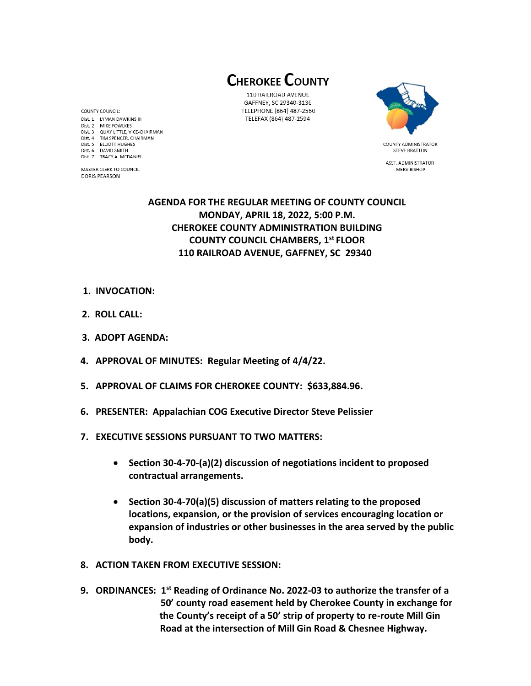**CHEROKEE COUNTY** 

110 RAILROAD AVENUE GAFFNEY, SC 29340-3136 TELEPHONE (864) 487-2560 TELEFAX (864) 487-2594



**STEVE BRATTON** ASST. ADMINISTRATOR MERV BISHOP

## **AGENDA FOR THE REGULAR MEETING OF COUNTY COUNCIL MONDAY, APRIL 18, 2022, 5:00 P.M. CHEROKEE COUNTY ADMINISTRATION BUILDING COUNTY COUNCIL CHAMBERS, 1 st FLOOR 110 RAILROAD AVENUE, GAFFNEY, SC 29340**

- **1. INVOCATION:**
- **2. ROLL CALL:**
- **3. ADOPT AGENDA:**
- **4. APPROVAL OF MINUTES: Regular Meeting of 4/4/22.**
- **5. APPROVAL OF CLAIMS FOR CHEROKEE COUNTY: \$633,884.96.**
- **6. PRESENTER: Appalachian COG Executive Director Steve Pelissier**
- **7. EXECUTIVE SESSIONS PURSUANT TO TWO MATTERS:**
	- **Section 30-4-70-(a)(2) discussion of negotiations incident to proposed contractual arrangements.**
	- **Section 30-4-70(a)(5) discussion of matters relating to the proposed locations, expansion, or the provision of services encouraging location or expansion of industries or other businesses in the area served by the public body.**
- **8. ACTION TAKEN FROM EXECUTIVE SESSION:**
- **9. ORDINANCES: 1st Reading of Ordinance No. 2022-03 to authorize the transfer of a 50' county road easement held by Cherokee County in exchange for the County's receipt of a 50' strip of property to re-route Mill Gin Road at the intersection of Mill Gin Road & Chesnee Highway.**

COUNTY COUNCIL: Dist. 1 LYMAN DAWKINS III Dist. 2 MIKE FOWLKES Dist. 3 QUAY LITTLE, VICE-CHAIRMAN Dist. 4 TIM SPENCER, CHAIRMAN Dist. 5 ELLIOTT HUGHES Dist. 6 DAVID SMITH Dist. 7 TRACY A. MCDANIEL

MASTER CLERK TO COUNCIL **DORIS PEARSON**